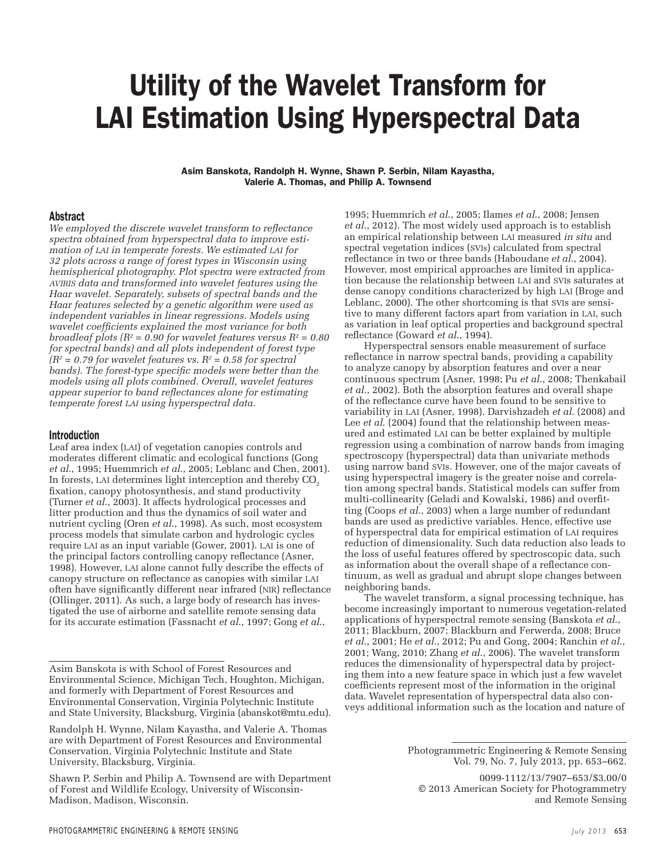# Utility of the Wavelet Transform for LAI Estimation Using Hyperspectral Data

Asim Banskota, Randolph H. Wynne, Shawn P. Serbin, Nilam Kayastha, Valerie A. Thomas, and Philip A. Townsend

## Abstract

*We employed the discrete wavelet transform to reflectance spectra obtained from hyperspectral data to improve estimation of LAI in temperate forests. We estimated LAI for 32 plots across a range of forest types in Wisconsin using hemispherical photography. Plot spectra were extracted from AVIRIS data and transformed into wavelet features using the Haar wavelet. Separately, subsets of spectral bands and the Haar features selected by a genetic algorithm were used as independent variables in linear regressions. Models using wavelet coeffi cients explained the most variance for both broadleaf plots (* $R^2 = 0.90$  *for wavelet features versus*  $R^2 = 0.80$ *for spectral bands) and all plots independent of forest type*   $(R^2 = 0.79$  for wavelet features vs.  $R^2 = 0.58$  for spectral *bands). The forest-type specific models were better than the models using all plots combined. Overall, wavelet features appear superior to band refl ectances alone for estimating temperate forest LAI using hyperspectral data.*

## Introduction

Leaf area index (LAI) of vegetation canopies controls and moderates different climatic and ecological functions (Gong *et al*., 1995; Huemmrich *et al*., 2005; Leblanc and Chen, 2001). In forests, LAI determines light interception and thereby  $CO<sub>2</sub>$ fixation, canopy photosynthesis, and stand productivity (Turner *et al*., 2003). It affects hydrological processes and litter production and thus the dynamics of soil water and nutrient cycling (Oren *et al*., 1998). As such, most ecosystem process models that simulate carbon and hydrologic cycles require LAI as an input variable (Gower, 2001). LAI is one of the principal factors controlling canopy reflectance (Asner, 1998). However, LAI alone cannot fully describe the effects of canopy structure on reflectance as canopies with similar LAI often have significantly different near infrared (NIR) reflectance (Ollinger, 2011). As such, a large body of research has investigated the use of airborne and satellite remote sensing data for its accurate estimation (Fassnacht *et al*., 1997; Gong *et al*.,

1995; Huemmrich *et al*., 2005; Ilames *et al*., 2008; Jensen *et al*., 2012). The most widely used approach is to establish an empirical relationship between LAI measured *in situ* and spectral vegetation indices (SVIs) calculated from spectral reflectance in two or three bands (Haboudane *et al.*, 2004). However, most empirical approaches are limited in application because the relationship between LAI and SVIs saturates at dense canopy conditions characterized by high LAI (Broge and Leblanc, 2000). The other shortcoming is that SVIs are sensitive to many different factors apart from variation in LAI, such as variation in leaf optical properties and background spectral reflectance (Goward *et al.*, 1994).

Hyperspectral sensors enable measurement of surface reflectance in narrow spectral bands, providing a capability to analyze canopy by absorption features and over a near continuous spectrum ( Asner, 1998; Pu *et al*., 2008; Thenkabail *et al*., 2002). Both the absorption features and overall shape of the reflectance curve have been found to be sensitive to variability in LAI (Asner, 1998). Darvishzadeh *et al*. (2008) and Lee *et al.* (2004) found that the relationship between measured and estimated LAI can be better explained by multiple regression using a combination of narrow bands from imaging spectroscopy (hyperspectral) data than univariate methods using narrow band SVIs. However, one of the major caveats of using hyperspectral imagery is the greater noise and correlation among spectral bands. Statistical models can suffer from multi-collinearity (Geladi and Kowalski, 1986) and overfitting (Coops *et al*., 2003) when a large number of redundant bands are used as predictive variables. Hence, effective use of hyperspectral data for empirical estimation of LAI requires reduction of dimensionality. Such data reduction also leads to the loss of useful features offered by spectroscopic data, such as information about the overall shape of a reflectance continuum, as well as gradual and abrupt slope changes between neighboring bands.

The wavelet transform, a signal processing technique, has become increasingly important to numerous vegetation-related applications of hyperspectral remote sensing (Banskota *et al*., 2011; Blackburn, 2007; Blackburn and Ferwerda, 2008; Bruce *et al*., 2001; He *et al.*, 2012; Pu and Gong, 2004; Ranchin *et al*., 2001; Wang, 2010; Zhang *et al*., 2006). The wavelet transform reduces the dimensionality of hyperspectral data by projecting them into a new feature space in which just a few wavelet coefficients represent most of the information in the original data. Wavelet representation of hyperspectral data also conveys additional information such as the location and nature of

Asim Banskota is with School of Forest Resources and Environmental Science, Michigan Tech, Houghton, Michigan, and formerly with Department of Forest Resources and Environmental Conservation, Virginia Polytechnic Institute and State University, Blacksburg, Virginia (abanskot@mtu.edu).

Randolph H. Wynne, Nilam Kayastha, and Valerie A. Thomas are with Department of Forest Resources and Environmental Conservation, Virginia Polytechnic Institute and State University, Blacksburg, Virginia.

Shawn P. Serbin and Philip A. Townsend are with Department of Forest and Wildlife Ecology, University of Wisconsin-Madison, Madison, Wisconsin.

Photogrammetric Engineering & Remote Sensing Vol. 79, No. 7, July 2013, pp. 653–662.

<sup>0099-1112/13/7907–653/\$3.00/0</sup> © 2013 American Society for Photogrammetry and Remote Sensing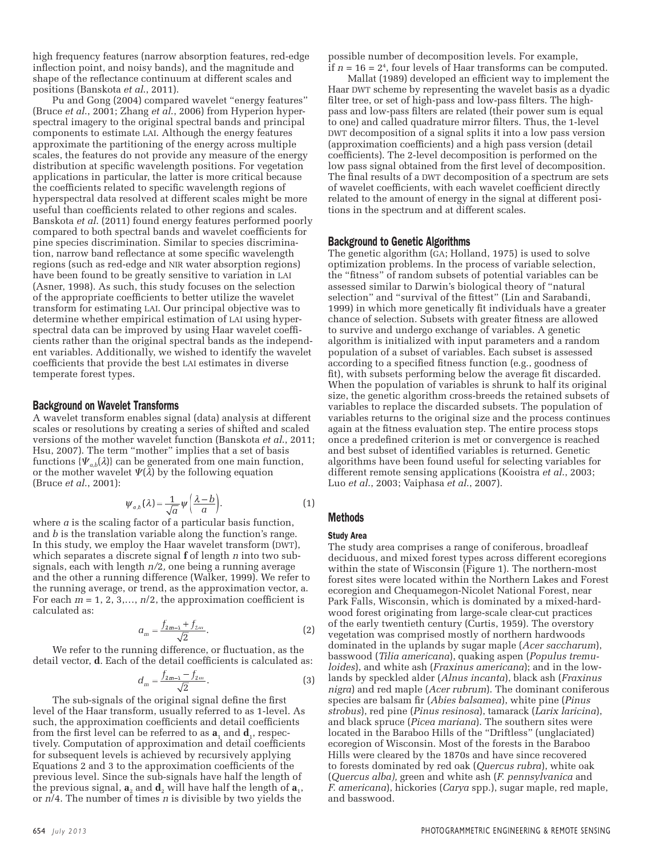high frequency features (narrow absorption features, red-edge inflection point, and noisy bands), and the magnitude and shape of the reflectance continuum at different scales and positions (Banskota *et al*., 2011).

Pu and Gong (2004) compared wavelet "energy features" (Bruce *et al*., 2001; Zhang *et al*., 2006) from Hyperion hyperspectral imagery to the original spectral bands and principal components to estimate LAI. Although the energy features approximate the partitioning of the energy across multiple scales, the features do not provide any measure of the energy distribution at specific wavelength positions. For vegetation applications in particular, the latter is more critical because the coefficients related to specific wavelength regions of hyperspectral data resolved at different scales might be more useful than coefficients related to other regions and scales. Banskota *et al*. (2011) found energy features performed poorly compared to both spectral bands and wavelet coefficients for pine species discrimination. Similar to species discrimination, narrow band reflectance at some specific wavelength regions (such as red-edge and NIR water absorption regions) have been found to be greatly sensitive to variation in LAI (Asner, 1998). As such, this study focuses on the selection of the appropriate coefficients to better utilize the wavelet transform for estimating LAI. Our principal objective was to determine whether empirical estimation of LAI using hyperspectral data can be improved by using Haar wavelet coefficients rather than the original spectral bands as the independent variables. Additionally, we wished to identify the wavelet coefficients that provide the best LAI estimates in diverse temperate forest types.

## Background on Wavelet Transforms

A wavelet transform enables signal (data) analysis at different scales or resolutions by creating a series of shifted and scaled versions of the mother wavelet function (Banskota *et al*., 2011; Hsu, 2007). The term "mother" implies that a set of basis functions  $\{\Psi_{ab}(\lambda)\}\)$  can be generated from one main function, or the mother wavelet  $\Psi(\bar{\lambda})$  by the following equation (Bruce *et al*., 2001):

$$
\psi_{a,b}(\lambda) = \frac{1}{\sqrt{a}} \psi\left(\frac{\lambda - b}{a}\right). \tag{1}
$$

where *a* is the scaling factor of a particular basis function, and *b* is the translation variable along the function's range. In this study, we employ the Haar wavelet transform (DWT), which separates a discrete signal **f** of length *n* into two subsignals, each with length *n/*2*,* one being a running average and the other a running difference (Walker, 1999). We refer to the running average, or trend, as the approximation vector, a. For each  $m = 1, 2, 3, \ldots, n/2$ , the approximation coefficient is calculated as:

$$
a_m = \frac{f_{2m-1} + f_{2m}}{\sqrt{2}}.
$$
 (2)

We refer to the running difference, or fluctuation, as the detail vector, **d**. Each of the detail coefficients is calculated as:

$$
d_m = \frac{f_{2m-1} - f_{2m}}{\sqrt{2}}.
$$
 (3)

The sub-signals of the original signal define the first level of the Haar transform, usually referred to as 1-level. As such, the approximation coefficients and detail coefficients from the first level can be referred to as  $a_1$  and  $d_1$ , respectively. Computation of approximation and detail coefficients for subsequent levels is achieved by recursively applying Equations 2 and 3 to the approximation coefficients of the previous level. Since the sub-signals have half the length of the previous signal,  $\mathbf{a}_2$  and  $\mathbf{d}_2$  will have half the length of  $\mathbf{a}_1$ , or *n*/4. The number of times *n* is divisible by two yields the

possible number of decomposition levels. For example, if  $n = 16 = 2<sup>4</sup>$ , four levels of Haar transforms can be computed.

Mallat (1989) developed an efficient way to implement the Haar DWT scheme by representing the wavelet basis as a dyadic filter tree, or set of high-pass and low-pass filters. The highpass and low-pass filters are related (their power sum is equal to one) and called quadrature mirror filters. Thus, the 1-level DWT decomposition of a signal splits it into a low pass version (approximation coefficients) and a high pass version (detail coefficients). The 2-level decomposition is performed on the low pass signal obtained from the first level of decomposition. The final results of a DWT decomposition of a spectrum are sets of wavelet coefficients, with each wavelet coefficient directly related to the amount of energy in the signal at different positions in the spectrum and at different scales.

#### Background to Genetic Algorithms

The genetic algorithm (GA; Holland, 1975) is used to solve optimization problems. In the process of variable selection, the "fitness" of random subsets of potential variables can be assessed similar to Darwin's biological theory of "natural selection" and "survival of the fittest" (Lin and Sarabandi, 1999) in which more genetically fit individuals have a greater chance of selection. Subsets with greater fitness are allowed to survive and undergo exchange of variables. A genetic algorithm is initialized with input parameters and a random population of a subset of variables. Each subset is assessed according to a specified fitness function (e.g., goodness of fit), with subsets performing below the average fit discarded. When the population of variables is shrunk to half its original size, the genetic algorithm cross-breeds the retained subsets of variables to replace the discarded subsets. The population of variables returns to the original size and the process continues again at the fitness evaluation step. The entire process stops once a predefined criterion is met or convergence is reached and best subset of identified variables is returned. Genetic algorithms have been found useful for selecting variables for different remote sensing applications (Kooistra *et al*., 2003; Luo *et al*., 2003; Vaiphasa *et al*., 2007).

# Methods

#### Study Area

The study area comprises a range of coniferous, broadleaf deciduous, and mixed forest types across different ecoregions within the state of Wisconsin (Figure 1). The northern-most forest sites were located within the Northern Lakes and Forest ecoregion and Chequamegon-Nicolet National Forest, near Park Falls, Wisconsin, which is dominated by a mixed-hardwood forest originating from large-scale clear-cut practices of the early twentieth century (Curtis, 1959). The overstory vegetation was comprised mostly of northern hardwoods dominated in the uplands by sugar maple (*Acer saccharum*), basswood (*Tilia americana*), quaking aspen (*Populus tremuloides*), and white ash (*Fraxinus americana*); and in the lowlands by speckled alder (*Alnus incanta*), black ash (*Fraxinus nigra*) and red maple (*Acer rubrum*). The dominant coniferous species are balsam fir (*Abies balsamea*), white pine (*Pinus strobus*), red pine (*Pinus resinosa*), tamarack (*Larix laricina*), and black spruce (*Picea mariana*). The southern sites were located in the Baraboo Hills of the "Driftless" (unglaciated) ecoregion of Wisconsin. Most of the forests in the Baraboo Hills were cleared by the 1870s and have since recovered to forests dominated by red oak (*Quercus rubra*), white oak (*Quercus alba),* green and white ash (*F. pennsylvanica* and *F. americana*), hickories (*Carya* spp.), sugar maple, red maple, and basswood.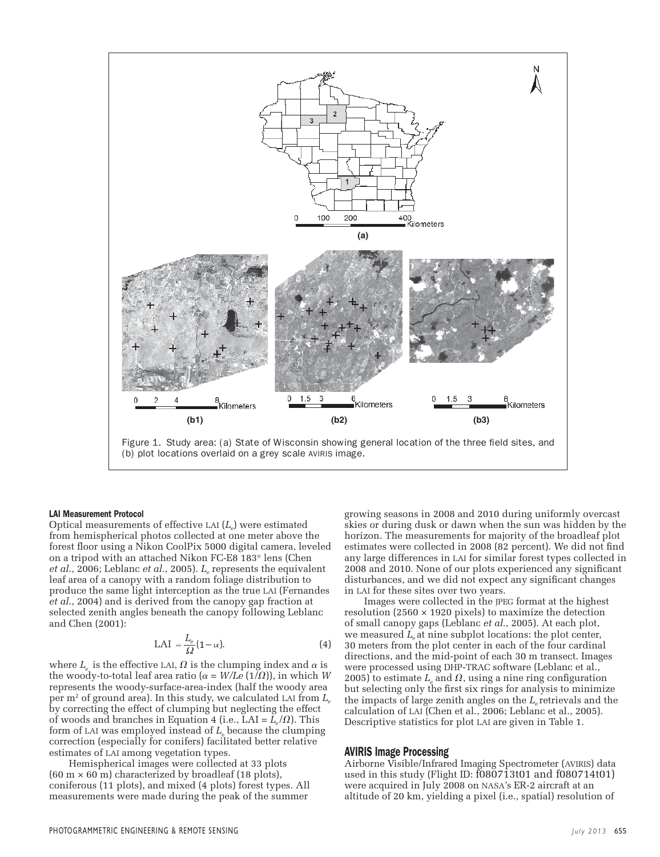

#### LAI Measurement Protocol

Optical measurements of effective LAI (*L<sub>e</sub>*) were estimated from hemispherical photos collected at one meter above the forest floor using a Nikon CoolPix 5000 digital camera, leveled on a tripod with an attached Nikon FC-E8 183° lens (Chen *et al*., 2006; Leblanc *et al*., 2005). *Le* represents the equivalent leaf area of a canopy with a random foliage distribution to produce the same light interception as the true LAI (Fernandes *et al*., 2004) and is derived from the canopy gap fraction at selected zenith angles beneath the canopy following Leblanc and Chen (2001):

$$
LAI = \frac{L_e}{\Omega} (1 - \alpha). \tag{4}
$$

where  $L_{\rho}$  is the effective LAI,  $\Omega$  is the clumping index and  $\alpha$  is the woody-to-total leaf area ratio ( $\alpha = W/Le(1/\Omega)$ ), in which *W* represents the woody-surface-area-index (half the woody area per m2 of ground area). In this study, we calculated LAI from *Le* by correcting the effect of clumping but neglecting the effect of woods and branches in Equation 4 (i.e.,  $\overline{LAI} = \overline{L_e}/\Omega$ ). This form of LAI was employed instead of  $L<sub>e</sub>$  because the clumping correction (especially for conifers) facilitated better relative estimates of LAI among vegetation types.

Hemispherical images were collected at 33 plots  $(60 \text{ m} \times 60 \text{ m})$  characterized by broadleaf (18 plots), coniferous (11 plots), and mixed (4 plots) forest types. All measurements were made during the peak of the summer

growing seasons in 2008 and 2010 during uniformly overcast skies or during dusk or dawn when the sun was hidden by the horizon. The measurements for majority of the broadleaf plot estimates were collected in 2008 (82 percent). We did not find any large differences in LAI for similar forest types collected in 2008 and 2010. None of our plots experienced any significant disturbances, and we did not expect any significant changes in LAI for these sites over two years.

Images were collected in the JPEG format at the highest resolution ( $2560 \times 1920$  pixels) to maximize the detection of small canopy gaps (Leblanc *et al*., 2005). At each plot, we measured *Le* at nine subplot locations: the plot center, 30 meters from the plot center in each of the four cardinal directions, and the mid-point of each 30 m transect. Images were processed using DHP-TRAC software (Leblanc et al., 2005) to estimate  $L_e$  and  $\Omega$ , using a nine ring configuration but selecting only the first six rings for analysis to minimize the impacts of large zenith angles on the  $L_{\rho}$  retrievals and the calculation of LAI (Chen et al., 2006; Leblanc et al., 2005). Descriptive statistics for plot LAI are given in Table 1.

## AVIRIS Image Processing

Airborne Visible/Infrared Imaging Spectrometer (AVIRIS) data used in this study (Flight ID: f080713t01 and f080714t01) were acquired in July 2008 on NASA's ER-2 aircraft at an altitude of 20 km, yielding a pixel (i.e., spatial) resolution of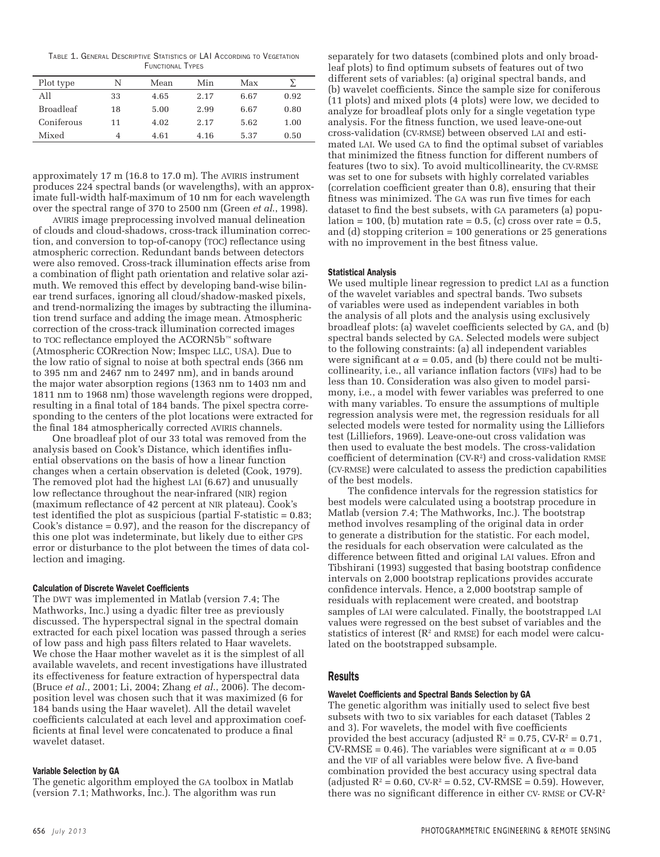TABLE 1. GENERAL DESCRIPTIVE STATISTICS OF LAI ACCORDING TO VEGETATION FUNCTIONAL TYPES

| Plot type        | N  | Mean | Min  | Max  |      |
|------------------|----|------|------|------|------|
| All              | 33 | 4.65 | 2.17 | 6.67 | 0.92 |
| <b>Broadleaf</b> | 18 | 5.00 | 2.99 | 6.67 | 0.80 |
| Coniferous       | 11 | 4.02 | 2.17 | 5.62 | 1.00 |
| Mixed            | 4  | 4.61 | 4.16 | 5.37 | 0.50 |

approximately 17 m (16.8 to 17.0 m). The AVIRIS instrument produces 224 spectral bands (or wavelengths), with an approximate full-width half-maximum of 10 nm for each wavelength over the spectral range of 370 to 2500 nm (Green *et al*., 1998).

AVIRIS image preprocessing involved manual delineation of clouds and cloud-shadows, cross-track illumination correction, and conversion to top-of-canopy (TOC) reflectance using atmospheric correction. Redundant bands between detectors were also removed. Cross-track illumination effects arise from a combination of flight path orientation and relative solar azimuth. We removed this effect by developing band-wise bilinear trend surfaces, ignoring all cloud/shadow-masked pixels, and trend-normalizing the images by subtracting the illumination trend surface and adding the image mean. Atmospheric correction of the cross-track illumination corrected images to TOC reflectance employed the ACORN5b<sup>™</sup> software (Atmospheric CORrection Now; Imspec LLC, USA). Due to the low ratio of signal to noise at both spectral ends (366 nm to 395 nm and 2467 nm to 2497 nm), and in bands around the major water absorption regions (1363 nm to 1403 nm and 1811 nm to 1968 nm) those wavelength regions were dropped, resulting in a final total of 184 bands. The pixel spectra corresponding to the centers of the plot locations were extracted for the final 184 atmospherically corrected AVIRIS channels.

One broadleaf plot of our 33 total was removed from the analysis based on Cook's Distance, which identifies influential observations on the basis of how a linear function changes when a certain observation is deleted (Cook, 1979). The removed plot had the highest LAI (6.67) and unusually low reflectance throughout the near-infrared (NIR) region (maximum reflectance of 42 percent at NIR plateau). Cook's test identified the plot as suspicious (partial  $F$ -statistic = 0.83; Cook's distance  $= 0.97$ ), and the reason for the discrepancy of this one plot was indeterminate, but likely due to either GPS error or disturbance to the plot between the times of data collection and imaging.

#### **Calculation of Discrete Wavelet Coefficients**

The DWT was implemented in Matlab (version 7.4; The Mathworks, Inc.) using a dyadic filter tree as previously discussed. The hyperspectral signal in the spectral domain extracted for each pixel location was passed through a series of low pass and high pass filters related to Haar wavelets. We chose the Haar mother wavelet as it is the simplest of all available wavelets, and recent investigations have illustrated its effectiveness for feature extraction of hyperspectral data (Bruce *et al.*, 2001; Li, 2004; Zhang *et al*., 2006). The decomposition level was chosen such that it was maximized (6 for 184 bands using the Haar wavelet). All the detail wavelet coefficients calculated at each level and approximation coefficients at final level were concatenated to produce a final wavelet dataset.

#### Variable Selection by GA

The genetic algorithm employed the GA toolbox in Matlab (version 7.1; Mathworks, Inc.). The algorithm was run

separately for two datasets (combined plots and only broadleaf plots) to find optimum subsets of features out of two different sets of variables: (a) original spectral bands, and (b) wavelet coefficients. Since the sample size for coniferous (11 plots) and mixed plots (4 plots) were low, we decided to analyze for broadleaf plots only for a single vegetation type analysis. For the fitness function, we used leave-one-out cross-validation (CV-RMSE) between observed LAI and estimated LAI. We used GA to find the optimal subset of variables that minimized the fitness function for different numbers of features (two to six). To avoid multicollinearity, the CV-RMSE was set to one for subsets with highly correlated variables (correlation coefficient greater than 0.8), ensuring that their fitness was minimized. The GA was run five times for each dataset to find the best subsets, with GA parameters (a) population = 100, (b) mutation rate =  $0.5$ , (c) cross over rate =  $0.5$ , and (d) stopping criterion = 100 generations or 25 generations with no improvement in the best fitness value.

#### Statistical Analysis

We used multiple linear regression to predict LAI as a function of the wavelet variables and spectral bands. Two subsets of variables were used as independent variables in both the analysis of all plots and the analysis using exclusively broadleaf plots: (a) wavelet coefficients selected by GA, and (b) spectral bands selected by GA. Selected models were subject to the following constraints: (a) all independent variables were significant at  $\alpha$  = 0.05, and (b) there could not be multicollinearity, i.e., all variance inflation factors (VIFs) had to be less than 10. Consideration was also given to model parsimony, i.e., a model with fewer variables was preferred to one with many variables. To ensure the assumptions of multiple regression analysis were met, the regression residuals for all selected models were tested for normality using the Lilliefors test (Lilliefors, 1969). Leave-one-out cross validation was then used to evaluate the best models. The cross-validation coefficient of determination (CV-R<sup>2</sup>) and cross-validation RMSE (CV-RMSE) were calculated to assess the prediction capabilities of the best models.

The confidence intervals for the regression statistics for best models were calculated using a bootstrap procedure in Matlab (version 7.4; The Mathworks, Inc.). The bootstrap method involves resampling of the original data in order to generate a distribution for the statistic. For each model, the residuals for each observation were calculated as the difference between fitted and original LAI values. Efron and Tibshirani (1993) suggested that basing bootstrap confidence intervals on 2,000 bootstrap replications provides accurate confidence intervals. Hence, a 2,000 bootstrap sample of residuals with replacement were created, and bootstrap samples of LAI were calculated. Finally, the bootstrapped LAI values were regressed on the best subset of variables and the statistics of interest ( $\mathsf{R}^{\scriptscriptstyle{2}}$  and RMSE) for each model were calculated on the bootstrapped subsample.

## Results

#### Wavelet Coefficients and Spectral Bands Selection by GA

The genetic algorithm was initially used to select five best subsets with two to six variables for each dataset (Tables 2 and 3). For wavelets, the model with five coefficients provided the best accuracy (adjusted  $R^2 = 0.75$ , CV- $R^2 = 0.71$ , CV-RMSE = 0.46). The variables were significant at  $\alpha = 0.05$ and the VIF of all variables were below five. A five-band combination provided the best accuracy using spectral data (adjusted  $R^2 = 0.60$ , CV- $R^2 = 0.52$ , CV-RMSE = 0.59). However, there was no significant difference in either CV-RMSE or  $CV-R^2$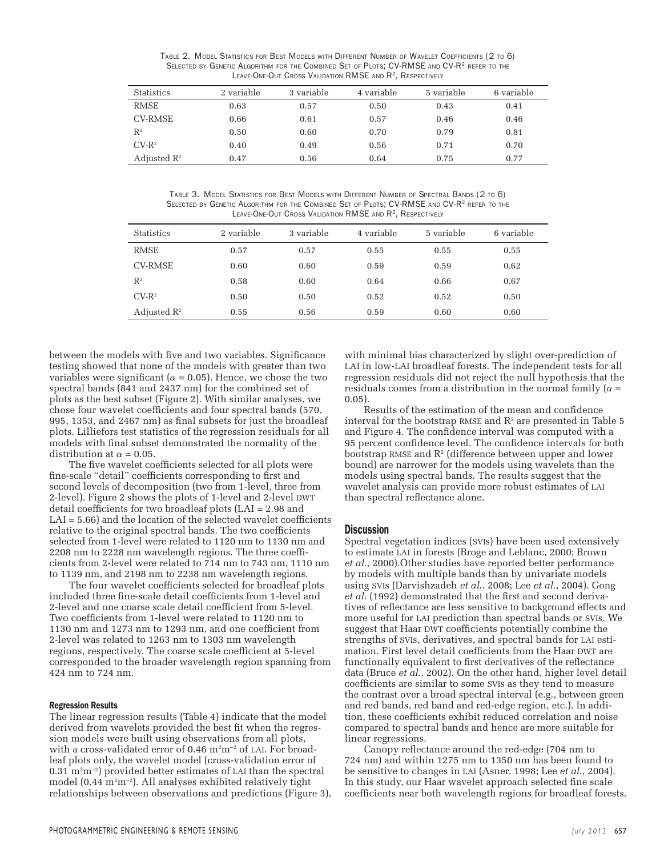| <b>Statistics</b>       | 2 variable | 3 variable | 4 variable | 5 variable | 6 variable |
|-------------------------|------------|------------|------------|------------|------------|
| <b>RMSE</b>             | 0.63       | 0.57       | 0.50       | 0.43       | 0.41       |
| <b>CV-RMSE</b>          | 0.66       | 0.61       | 0.57       | 0.46       | 0.46       |
| $\mathbb{R}^2$          | 0.50       | 0.60       | 0.70       | 0.79       | 0.81       |
| $CV-R2$                 | 0.40       | 0.49       | 0.56       | 0.71       | 0.70       |
| Adjusted $\mathbb{R}^2$ | 0.47       | 0.56       | 0.64       | 0.75       | 0.77       |

TABLE 2. MODEL STATISTICS FOR BEST MODELS WITH DIFFERENT NUMBER OF WAVELET COEFFICIENTS (2 TO 6) SELECTED BY GENETIC ALGORITHM FOR THE COMBINED SET OF PLOTS; CV-RMSE AND CV-R<sup>2</sup> REFER TO THE LEAVE-ONE-OUT CROSS VALIDATION RMSE AND R<sup>2</sup>, RESPECTIVELY

TABLE 3. MODEL STATISTICS FOR BEST MODELS WITH DIFFERENT NUMBER OF SPECTRAL BANDS (2 TO 6) SELECTED BY GENETIC ALGORITHM FOR THE COMBINED SET OF PLOTS; CV-RMSE AND CV-R<sup>2</sup> REFER TO THE LEAVE-ONE-OUT CROSS VALIDATION RMSE AND R<sup>2</sup>, RESPECTIVELY

| <b>Statistics</b>       | 2 variable | 3 variable | 4 variable | 5 variable | 6 variable |
|-------------------------|------------|------------|------------|------------|------------|
| <b>RMSE</b>             | 0.57       | 0.57       | 0.55       | 0.55       | 0.55       |
| <b>CV-RMSE</b>          | 0.60       | 0.60       | 0.59       | 0.59       | 0.62       |
| $R^2$                   | 0.58       | 0.60       | 0.64       | 0.66       | 0.67       |
| $CV-R2$                 | 0.50       | 0.50       | 0.52       | 0.52       | 0.50       |
| Adjusted $\mathbb{R}^2$ | 0.55       | 0.56       | 0.59       | 0.60       | 0.60       |

between the models with five and two variables. Significance testing showed that none of the models with greater than two variables were significant ( $\alpha$  = 0.05). Hence, we chose the two spectral bands (841 and 2437 nm) for the combined set of plots as the best subset (Figure 2). With similar analyses, we chose four wavelet coefficients and four spectral bands (570, 995, 1353, and 2467 nm) as final subsets for just the broadleaf plots. Lilliefors test statistics of the regression residuals for all models with final subset demonstrated the normality of the distribution at  $\alpha = 0.05$ .

The five wavelet coefficients selected for all plots were fine-scale "detail" coefficients corresponding to first and second levels of decomposition (two from 1-level, three from 2-level). Figure 2 shows the plots of 1-level and 2-level DWT detail coefficients for two broadleaf plots  $(LAI = 2.98$  and  $LAI = 5.66$ ) and the location of the selected wavelet coefficients relative to the original spectral bands. The two coefficients selected from 1-level were related to 1120 nm to 1130 nm and 2208 nm to 2228 nm wavelength regions. The three coeffi cients from 2-level were related to 714 nm to 743 nm, 1110 nm to 1139 nm, and 2198 nm to 2238 nm wavelength regions.

The four wavelet coefficients selected for broadleaf plots included three fine-scale detail coefficients from 1-level and 2-level and one coarse scale detail coefficient from 5-level. Two coefficients from 1-level were related to 1120 nm to 1130 nm and 1273 nm to 1293 nm, and one coefficient from 2-level was related to 1263 nm to 1303 nm wavelength regions, respectively. The coarse scale coefficient at 5-level corresponded to the broader wavelength region spanning from 424 nm to 724 nm.

#### Regression Results

The linear regression results (Table 4) indicate that the model derived from wavelets provided the best fit when the regression models were built using observations from all plots, with a cross-validated error of 0.46 m<sup>2</sup>m<sup>-2</sup> of LAI. For broadleaf plots only, the wavelet model (cross-validation error of  $0.31 \text{ m}^2\text{m}^{-2}$ ) provided better estimates of LAI than the spectral model (0.44 m<sup>2</sup>m<sup>-2</sup>). All analyses exhibited relatively tight relationships between observations and predictions (Figure 3), with minimal bias characterized by slight over-prediction of LAI in low-LAI broadleaf forests. The independent tests for all regression residuals did not reject the null hypothesis that the residuals comes from a distribution in the normal family ( $\alpha$  = 0.05).

Results of the estimation of the mean and confidence interval for the bootstrap RMSE and  $\mathbb{R}^2$  are presented in Table 5 and Figure 4. The confidence interval was computed with a 95 percent confidence level. The confidence intervals for both bootstrap RMSE and  $\mathbb{R}^2$  (difference between upper and lower bound) are narrower for the models using wavelets than the models using spectral bands. The results suggest that the wavelet analysis can provide more robust estimates of LAI than spectral reflectance alone.

#### **Discussion**

Spectral vegetation indices (SVIs) have been used extensively to estimate LAI in forests (Broge and Leblanc, 2000; Brown *et al*., 2000).Other studies have reported better performance by models with multiple bands than by univariate models using SVIs (Darvishzadeh *et al*., 2008; Lee *et al*., 2004). Gong *et al.* (1992) demonstrated that the first and second derivatives of reflectance are less sensitive to background effects and more useful for LAI prediction than spectral bands or SVIs. We suggest that Haar DWT coefficients potentially combine the strengths of SVIs, derivatives, and spectral bands for LAI estimation. First level detail coefficients from the Haar <code>DWT</code> are functionally equivalent to first derivatives of the reflectance data (Bruce *et al*., 2002). On the other hand, higher level detail coefficients are similar to some SVIs as they tend to measure the contrast over a broad spectral interval (e.g., between green and red bands, red band and red-edge region, etc.). In addition, these coefficients exhibit reduced correlation and noise compared to spectral bands and hence are more suitable for linear regressions.

Canopy reflectance around the red-edge (704 nm to 724 nm) and within 1275 nm to 1350 nm has been found to be sensitive to changes in LAI (Asner, 1998; Lee *et al*., 2004). In this study, our Haar wavelet approach selected fine scale coefficients near both wavelength regions for broadleaf forests.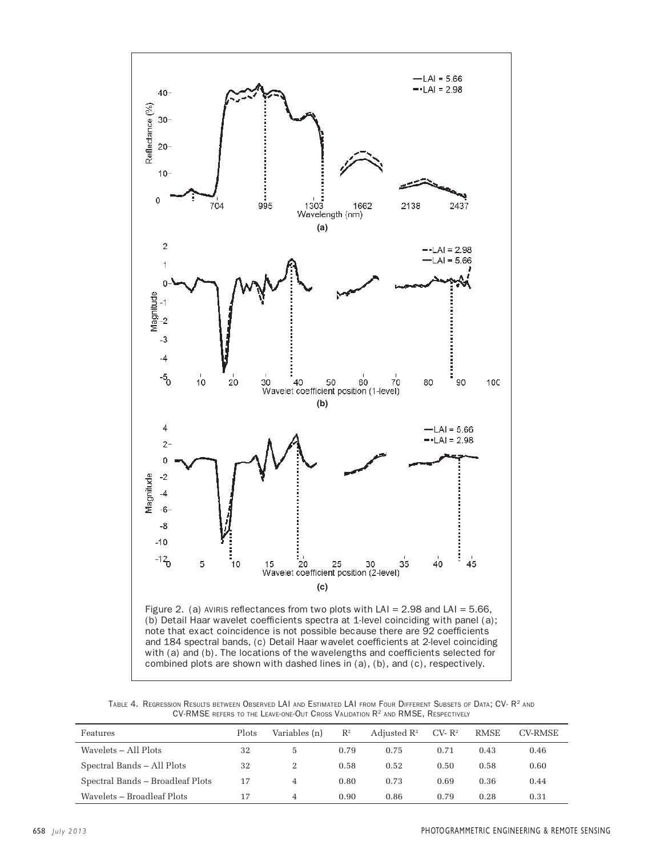

TABLE 4. REGRESSION RESULTS BETWEEN OBSERVED LAI AND ESTIMATED LAI FROM FOUR DIFFERENT SUBSETS OF DATA; CV- R<sup>2</sup> AND CV-RMSE REFERS TO THE LEAVE-ONE-OUT CROSS VALIDATION R2 AND RMSE, RESPECTIVELY

| Features                         | Plots | Variables (n) | $\mathbb{R}^2$ | Adjusted $\mathbb{R}^2$ | $CV-R^2$ | <b>RMSE</b> | <b>CV-RMSE</b> |  |
|----------------------------------|-------|---------------|----------------|-------------------------|----------|-------------|----------------|--|
| Wavelets - All Plots             | 32    | 5             | 0.79           | 0.75                    | 0.71     | 0.43        | 0.46           |  |
| Spectral Bands - All Plots       | 32    | 2             | 0.58           | 0.52                    | 0.50     | 0.58        | 0.60           |  |
| Spectral Bands - Broadleaf Plots | 17    | 4             | 0.80           | 0.73                    | 0.69     | 0.36        | 0.44           |  |
| Wavelets - Broadleaf Plots       |       | 4             | 0.90           | 0.86                    | 0.79     | 0.28        | 0.31           |  |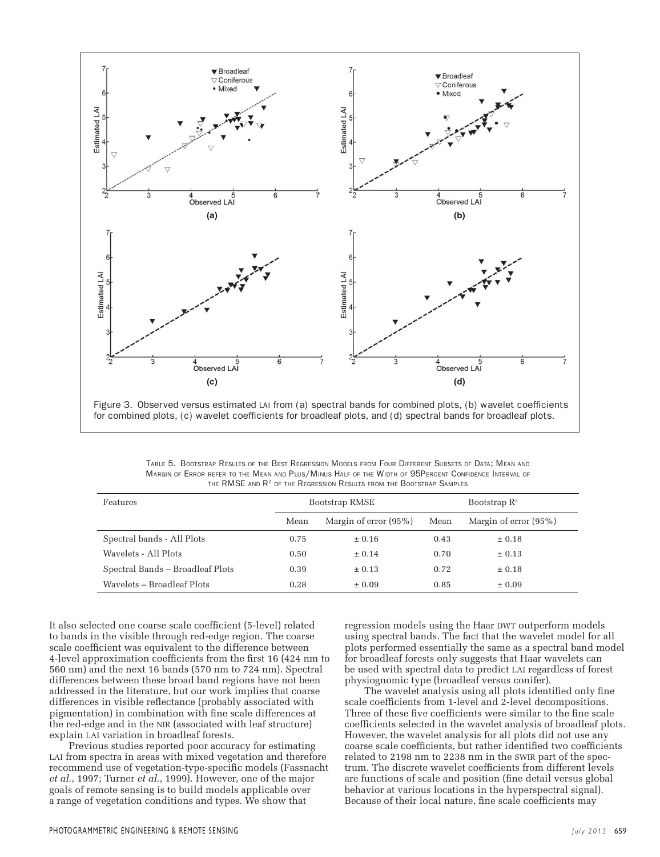

TABLE 5. BOOTSTRAP RESULTS OF THE BEST REGRESSION MODELS FROM FOUR DIFFERENT SUBSETS OF DATA; MEAN AND MARGIN OF ERROR REFER TO THE MEAN AND PLUS/MINUS HALF OF THE WIDTH OF 95PERCENT CONFIDENCE INTERVAL OF THE RMSE AND R<sup>2</sup> OF THE REGRESSION RESULTS FROM THE BOOTSTRAP SAMPLES

| Features                         |      | Bootstrap RMSE           | Bootstrap $\mathbb{R}^2$ |                          |  |
|----------------------------------|------|--------------------------|--------------------------|--------------------------|--|
|                                  | Mean | Margin of error $(95\%)$ | Mean                     | Margin of error $(95\%)$ |  |
| Spectral bands - All Plots       | 0.75 | $\pm 0.16$               | 0.43                     | $\pm 0.18$               |  |
| Wavelets - All Plots             | 0.50 | ± 0.14                   | 0.70                     | $\pm 0.13$               |  |
| Spectral Bands - Broadleaf Plots | 0.39 | $\pm$ 0.13               | 0.72                     | $\pm$ 0.18               |  |
| Wavelets - Broadleaf Plots       | 0.28 | $\pm 0.09$               | 0.85                     | $\pm 0.09$               |  |

It also selected one coarse scale coefficient (5-level) related to bands in the visible through red-edge region. The coarse scale coefficient was equivalent to the difference between 4-level approximation coefficients from the first 16 (424 nm to 560 nm) and the next 16 bands (570 nm to 724 nm). Spectral differences between these broad band regions have not been addressed in the literature, but our work implies that coarse differences in visible reflectance (probably associated with pigmentation) in combination with fine scale differences at the red-edge and in the NIR (associated with leaf structure) explain LAI variation in broadleaf forests.

Previous studies reported poor accuracy for estimating LAI from spectra in areas with mixed vegetation and therefore recommend use of vegetation-type-specific models (Fassnacht *et al*., 1997; Turner *et al*., 1999). However, one of the major goals of remote sensing is to build models applicable over a range of vegetation conditions and types. We show that

regression models using the Haar DWT outperform models using spectral bands. The fact that the wavelet model for all plots performed essentially the same as a spectral band model for broadleaf forests only suggests that Haar wavelets can be used with spectral data to predict LAI regardless of forest physiognomic type (broadleaf versus conifer).

The wavelet analysis using all plots identified only fine scale coefficients from 1-level and 2-level decompositions. Three of these five coefficients were similar to the fine scale coefficients selected in the wavelet analysis of broadleaf plots. However, the wavelet analysis for all plots did not use any coarse scale coefficients, but rather identified two coefficients related to 2198 nm to 2238 nm in the SWIR part of the spectrum. The discrete wavelet coefficients from different levels are functions of scale and position (fine detail versus global behavior at various locations in the hyperspectral signal). Because of their local nature, fine scale coefficients may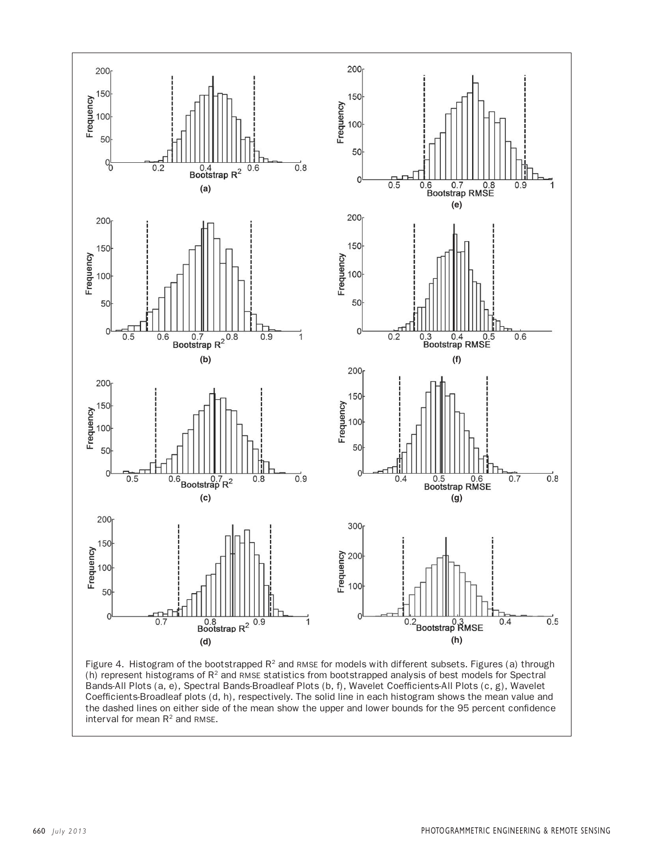

Figure 4. Histogram of the bootstrapped  $R^2$  and RMSE for models with different subsets. Figures (a) through (h) represent histograms of  $R^2$  and RMSE statistics from bootstrapped analysis of best models for Spectral Bands-All Plots (a, e), Spectral Bands-Broadleaf Plots (b, f), Wavelet Coefficients-All Plots (c, g), Wavelet Coefficients-Broadleaf plots (d, h), respectively. The solid line in each histogram shows the mean value and the dashed lines on either side of the mean show the upper and lower bounds for the 95 percent confidence interval for mean  $R^2$  and RMSE.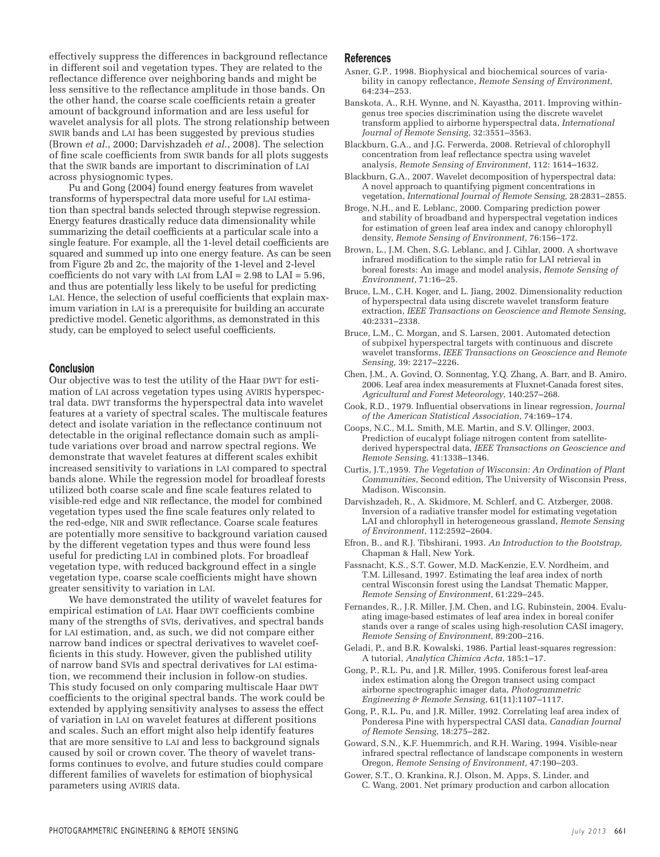effectively suppress the differences in background reflectance in different soil and vegetation types. They are related to the reflectance difference over neighboring bands and might be less sensitive to the reflectance amplitude in those bands. On the other hand, the coarse scale coefficients retain a greater amount of background information and are less useful for wavelet analysis for all plots. The strong relationship between SWIR bands and LAI has been suggested by previous studies (Brown *et al*., 2000; Darvishzadeh *et al*., 2008). The selection of fine scale coefficients from SWIR bands for all plots suggests that the SWIR bands are important to discrimination of LAI across physiognomic types.

Pu and Gong (2004) found energy features from wavelet transforms of hyperspectral data more useful for LAI estimation than spectral bands selected through stepwise regression. Energy features drastically reduce data dimensionality while summarizing the detail coefficients at a particular scale into a single feature. For example, all the 1-level detail coefficients are squared and summed up into one energy feature. As can be seen from Figure 2b and 2c, the majority of the 1-level and 2-level coefficients do not vary with LAI from  $LAI = 2.98$  to  $LAI = 5.96$ , and thus are potentially less likely to be useful for predicting LAI. Hence, the selection of useful coefficients that explain maximum variation in LAI is a prerequisite for building an accurate predictive model. Genetic algorithms, as demonstrated in this study, can be employed to select useful coefficients.

## **Conclusion**

Our objective was to test the utility of the Haar DWT for estimation of LAI across vegetation types using AVIRIS hyperspectral data. DWT transforms the hyperspectral data into wavelet features at a variety of spectral scales. The multiscale features detect and isolate variation in the reflectance continuum not detectable in the original reflectance domain such as amplitude variations over broad and narrow spectral regions. We demonstrate that wavelet features at different scales exhibit increased sensitivity to variations in LAI compared to spectral bands alone. While the regression model for broadleaf forests utilized both coarse scale and fine scale features related to visible-red edge and NIR reflectance, the model for combined vegetation types used the fine scale features only related to the red-edge, NIR and SWIR reflectance. Coarse scale features are potentially more sensitive to background variation caused by the different vegetation types and thus were found less useful for predicting LAI in combined plots. For broadleaf vegetation type, with reduced background effect in a single vegetation type, coarse scale coefficients might have shown greater sensitivity to variation in LAI.

We have demonstrated the utility of wavelet features for empirical estimation of LAI. Haar DWT coefficients combine many of the strengths of SVIs, derivatives, and spectral bands for LAI estimation, and, as such, we did not compare either narrow band indices or spectral derivatives to wavelet coefficients in this study. However, given the published utility of narrow band SVIs and spectral derivatives for LAI estimation, we recommend their inclusion in follow-on studies. This study focused on only comparing multiscale Haar DWT coefficients to the original spectral bands. The work could be extended by applying sensitivity analyses to assess the effect of variation in LAI on wavelet features at different positions and scales. Such an effort might also help identify features that are more sensitive to LAI and less to background signals caused by soil or crown cover. The theory of wavelet transforms continues to evolve, and future studies could compare different families of wavelets for estimation of biophysical parameters using AVIRIS data.

## References

- Asner, G.P., 1998. Biophysical and biochemical sources of variability in canopy refl ectance, *Remote Sensing of Environment*, 64:234–253.
- Banskota, A., R.H. Wynne, and N. Kayastha, 2011. Improving withingenus tree species discrimination using the discrete wavelet transform applied to airborne hyperspectral data, *International Journal of Remote Sensing*, 32:3551–3563.
- Blackburn, G.A., and J.G. Ferwerda, 2008. Retrieval of chlorophyll concentration from leaf reflectance spectra using wavelet analysis, *Remote Sensing of Environment,* 112: 1614–1632.
- Blackburn, G.A., 2007. Wavelet decomposition of hyperspectral data: A novel approach to quantifying pigment concentrations in vegetation, *International Journal of Remote Sensing,* 28*:*2831–2855.
- Broge, N.H., and E. Leblanc, 2000. Comparing prediction power and stability of broadband and hyperspectral vegetation indices for estimation of green leaf area index and canopy chlorophyll density, *Remote Sensing of Environment,* 76:156–172.
- Brown, L., J.M. Chen, S.G. Leblanc, and J. Cihlar, 2000. A shortwave infrared modification to the simple ratio for LAI retrieval in boreal forests: An image and model analysis, *Remote Sensing of Environment*, 71:16–25.
- Bruce, L.M., C.H. Koger, and L. Jiang, 2002. Dimensionality reduction of hyperspectral data using discrete wavelet transform feature extraction, *IEEE Transactions on Geoscience and Remote Sensing*, 40:2331–2338.
- Bruce, L.M., C. Morgan, and S. Larsen, 2001. Automated detection of subpixel hyperspectral targets with continuous and discrete wavelet transforms, *IEEE Transactions on Geoscience and Remote Sensing,* 39: 2217–2226.
- Chen, J.M., A. Govind, O. Sonnentag, Y.Q. Zhang, A. Barr, and B. Amiro, 2006. Leaf area index measurements at Fluxnet-Canada forest sites, *Agricultural and Forest Meteorology*, 140:257–268.
- Cook, R.D., 1979. Influential observations in linear regression, *Journal of the American Statistical Association*, 74:169–174.
- Coops, N.C., M.L. Smith, M.E. Martin, and S.V. Ollinger, 2003. Prediction of eucalypt foliage nitrogen content from satellitederived hyperspectral data, *IEEE Transactions on Geoscience and Remote Sensing*, 41:1338–1346.
- Curtis, J.T.,1959. *The Vegetation of Wisconsin: An Ordination of Plant Communities*, Second edition, The University of Wisconsin Press, Madison, Wisconsin.
- Darvishzadeh, R., A. Skidmore, M. Schlerf, and C. Atzberger, 2008. Inversion of a radiative transfer model for estimating vegetation LAI and chlorophyll in heterogeneous grassland, *Remote Sensing of Environment*, 112:2592–2604.
- Efron, B., and R.J. Tibshirani, 1993. *An Introduction to the Bootstrap*, Chapman & Hall, New York.
- Fassnacht, K.S., S.T. Gower, M.D. MacKenzie, E.V. Nordheim, and T.M. Lillesand, 1997. Estimating the leaf area index of north central Wisconsin forest using the Landsat Thematic Mapper, *Remote Sensing of Environment*, 61:229–245.
- Fernandes, R., J.R. Miller, J.M. Chen, and I.G. Rubinstein, 2004. Evaluating image-based estimates of leaf area index in boreal conifer stands over a range of scales using high-resolution CASI imagery, *Remote Sensing of Environment*, 89:200–216.
- Geladi, P., and B.R. Kowalski, 1986. Partial least-squares regression: A tutorial, *Analytica Chimica Acta*, 185:1–17.
- Gong, P., R.L. Pu, and J.R. Miller, 1995. Coniferous forest leaf-area index estimation along the Oregon transect using compact airborne spectrographic imager data, *Photogrammetric Engineering & Remote Sensing*, 61(11):1107–1117.
- Gong, P., R.L. Pu, and J.R. Miller, 1992. Correlating leaf area index of Ponderesa Pine with hyperspectral CASI data, *Canadian Journal of Remote Sensing*, 18:275–282.
- Goward, S.N., K.F. Huemmrich, and R.H. Waring, 1994. Visible-near infrared spectral reflectance of landscape components in western Oregon, *Remote Sensing of Environment*, 47:190–203.
- Gower, S.T., O. Krankina, R.J. Olson, M. Apps, S. Linder, and C. Wang, 2001. Net primary production and carbon allocation